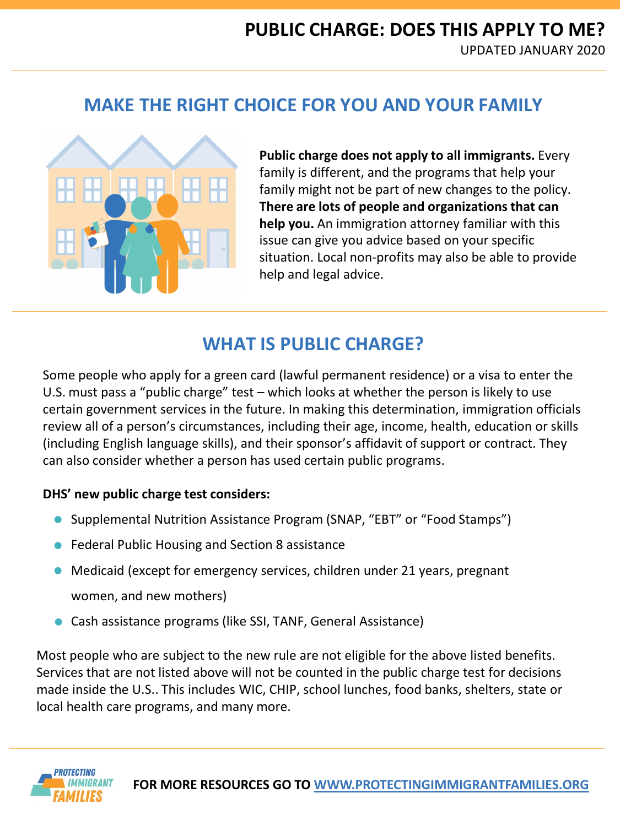## **MAKE THE RIGHT CHOICE FOR YOU AND YOUR FAMILY**



**Public charge does not apply to all immigrants.** Every family is different, and the programs that help your family might not be part of new changes to the policy. **There are lots of people and organizations that can help you.** An immigration attorney familiar with this issue can give you advice based on your specific situation. Local non-profits may also be able to provide help and legal advice.

## **WHAT IS PUBLIC CHARGE?**

Some people who apply for a green card (lawful permanent residence) or a visa to enter the U.S. must pass a "public charge" test – which looks at whether the person is likely to use certain government services in the future. In making this determination, immigration officials review all of a person's circumstances, including their age, income, health, education or skills (including English language skills), and their sponsor's affidavit of support or contract. They can also consider whether a person has used certain public programs.

### **DHS' new public charge test considers:**

- Supplemental Nutrition Assistance Program (SNAP, "EBT" or "Food Stamps")
- Federal Public Housing and Section 8 assistance
- Medicaid (except for emergency services, children under 21 years, pregnant women, and new mothers)
- Cash assistance programs (like SSI, TANF, General Assistance)

Most people who are subject to the new rule are not eligible for the above listed benefits. Services that are not listed above will not be counted in the public charge test for decisions made inside the U.S.. This includes WIC, CHIP, school lunches, food banks, shelters, state or local health care programs, and many more.